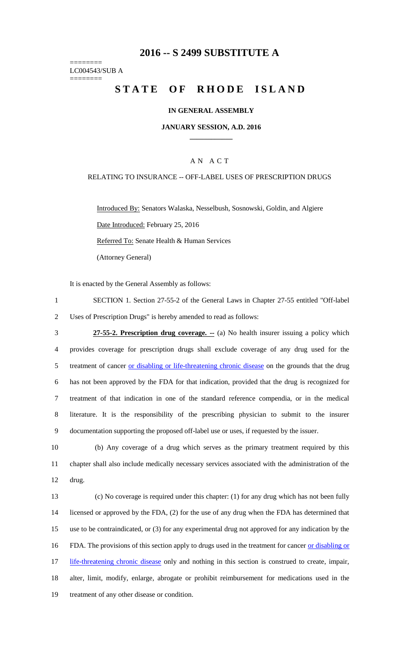## **2016 -- S 2499 SUBSTITUTE A**

======== LC004543/SUB A ========

# STATE OF RHODE ISLAND

### **IN GENERAL ASSEMBLY**

#### **JANUARY SESSION, A.D. 2016 \_\_\_\_\_\_\_\_\_\_\_\_**

## A N A C T

#### RELATING TO INSURANCE -- OFF-LABEL USES OF PRESCRIPTION DRUGS

Introduced By: Senators Walaska, Nesselbush, Sosnowski, Goldin, and Algiere Date Introduced: February 25, 2016 Referred To: Senate Health & Human Services (Attorney General)

It is enacted by the General Assembly as follows:

- 1 SECTION 1. Section 27-55-2 of the General Laws in Chapter 27-55 entitled "Off-label 2 Uses of Prescription Drugs" is hereby amended to read as follows:
- 3 **27-55-2. Prescription drug coverage. --** (a) No health insurer issuing a policy which 4 provides coverage for prescription drugs shall exclude coverage of any drug used for the 5 treatment of cancer or disabling or life-threatening chronic disease on the grounds that the drug 6 has not been approved by the FDA for that indication, provided that the drug is recognized for 7 treatment of that indication in one of the standard reference compendia, or in the medical 8 literature. It is the responsibility of the prescribing physician to submit to the insurer 9 documentation supporting the proposed off-label use or uses, if requested by the issuer.
- 10 (b) Any coverage of a drug which serves as the primary treatment required by this 11 chapter shall also include medically necessary services associated with the administration of the 12 drug.
- 13 (c) No coverage is required under this chapter: (1) for any drug which has not been fully 14 licensed or approved by the FDA, (2) for the use of any drug when the FDA has determined that 15 use to be contraindicated, or (3) for any experimental drug not approved for any indication by the 16 FDA. The provisions of this section apply to drugs used in the treatment for cancer or disabling or 17 life-threatening chronic disease only and nothing in this section is construed to create, impair, 18 alter, limit, modify, enlarge, abrogate or prohibit reimbursement for medications used in the 19 treatment of any other disease or condition.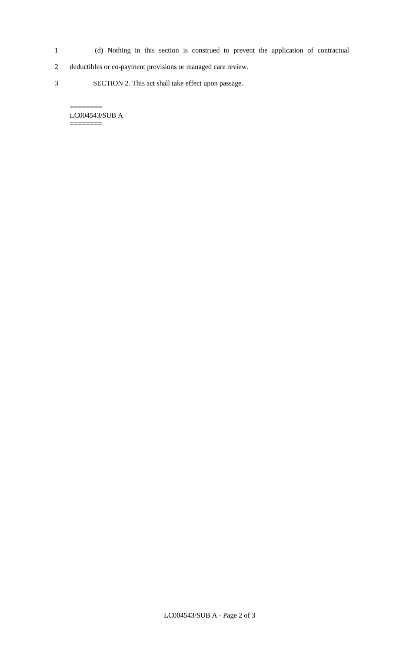- 1 (d) Nothing in this section is construed to prevent the application of contractual
- 2 deductibles or co-payment provisions or managed care review.
- 3 SECTION 2. This act shall take effect upon passage.

LC004543/SUB A ========

 $=$